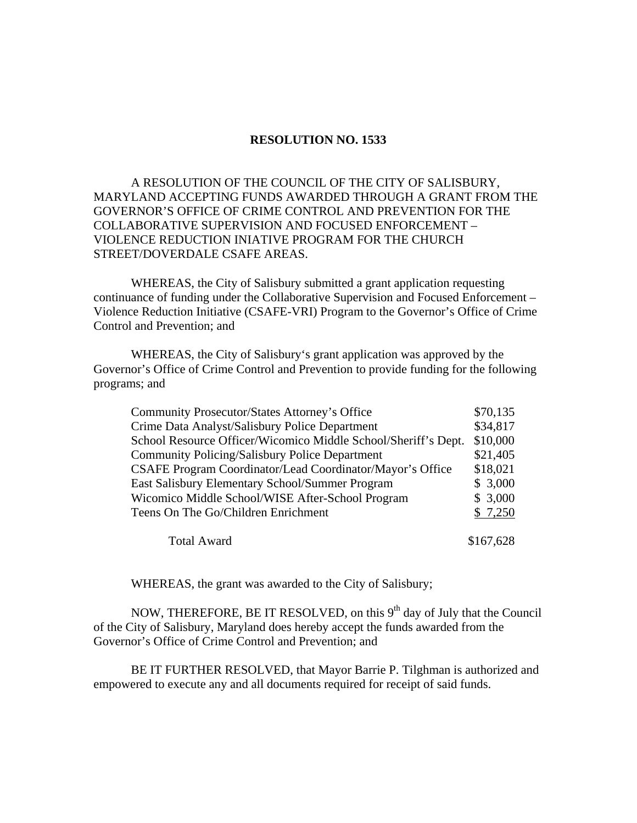## **RESOLUTION NO. 1533**

## A RESOLUTION OF THE COUNCIL OF THE CITY OF SALISBURY, MARYLAND ACCEPTING FUNDS AWARDED THROUGH A GRANT FROM THE GOVERNOR'S OFFICE OF CRIME CONTROL AND PREVENTION FOR THE COLLABORATIVE SUPERVISION AND FOCUSED ENFORCEMENT – VIOLENCE REDUCTION INIATIVE PROGRAM FOR THE CHURCH STREET/DOVERDALE CSAFE AREAS.

 WHEREAS, the City of Salisbury submitted a grant application requesting continuance of funding under the Collaborative Supervision and Focused Enforcement – Violence Reduction Initiative (CSAFE-VRI) Program to the Governor's Office of Crime Control and Prevention; and

 WHEREAS, the City of Salisbury's grant application was approved by the Governor's Office of Crime Control and Prevention to provide funding for the following programs; and

| <b>Community Prosecutor/States Attorney's Office</b>           | \$70,135  |
|----------------------------------------------------------------|-----------|
| Crime Data Analyst/Salisbury Police Department                 | \$34,817  |
| School Resource Officer/Wicomico Middle School/Sheriff's Dept. | \$10,000  |
| Community Policing/Salisbury Police Department                 | \$21,405  |
| CSAFE Program Coordinator/Lead Coordinator/Mayor's Office      | \$18,021  |
| East Salisbury Elementary School/Summer Program                | \$3,000   |
| Wicomico Middle School/WISE After-School Program               | \$3,000   |
| Teens On The Go/Children Enrichment                            | \$7,250   |
| <b>Total Award</b>                                             | \$167,628 |

WHEREAS, the grant was awarded to the City of Salisbury;

NOW, THEREFORE, BE IT RESOLVED, on this  $9<sup>th</sup>$  day of July that the Council of the City of Salisbury, Maryland does hereby accept the funds awarded from the Governor's Office of Crime Control and Prevention; and

 BE IT FURTHER RESOLVED, that Mayor Barrie P. Tilghman is authorized and empowered to execute any and all documents required for receipt of said funds.